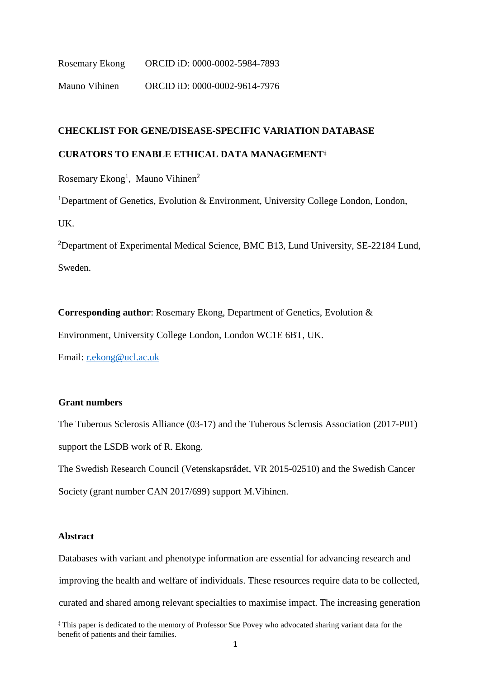Rosemary Ekong ORCID iD: 0000-0002-5984-7893 Mauno Vihinen ORCID iD: 0000-0002-9614-7976

# **CHECKLIST FOR GENE/DISEASE-SPECIFIC VARIATION DATABASE**

## **CURATORS TO ENABLE ETHICAL DATA MANAGEMENT**‡

Rosemary Ekong<sup>1</sup>, Mauno Vihinen<sup>2</sup>

<sup>1</sup>Department of Genetics, Evolution & Environment, University College London, London, UK.

<sup>2</sup>Department of Experimental Medical Science, BMC B13, Lund University, SE-22184 Lund, Sweden.

**Corresponding author**: Rosemary Ekong, Department of Genetics, Evolution &

Environment, University College London, London WC1E 6BT, UK.

Email: [r.ekong@ucl.ac.uk](mailto:r.ekong@ucl.ac.uk)

# **Grant numbers**

The Tuberous Sclerosis Alliance (03-17) and the Tuberous Sclerosis Association (2017-P01) support the LSDB work of R. Ekong.

The Swedish Research Council (Vetenskapsrådet, VR 2015-02510) and the Swedish Cancer Society (grant number CAN 2017/699) support M.Vihinen.

### **Abstract**

Databases with variant and phenotype information are essential for advancing research and improving the health and welfare of individuals. These resources require data to be collected, curated and shared among relevant specialties to maximise impact. The increasing generation

‡ This paper is dedicated to the memory of Professor Sue Povey who advocated sharing variant data for the benefit of patients and their families.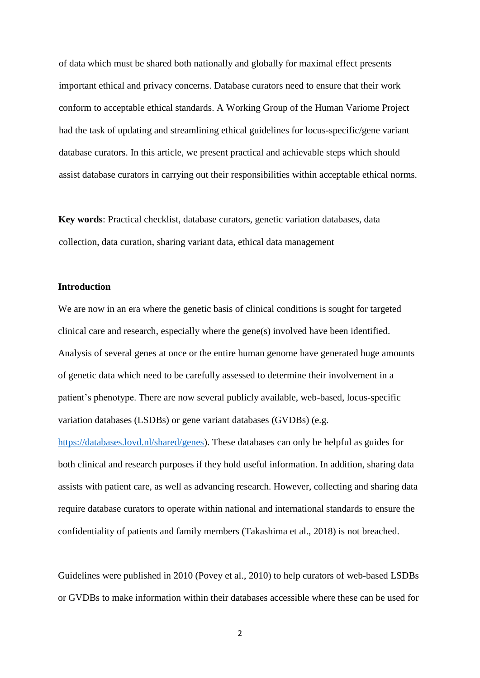of data which must be shared both nationally and globally for maximal effect presents important ethical and privacy concerns. Database curators need to ensure that their work conform to acceptable ethical standards. A Working Group of the Human Variome Project had the task of updating and streamlining ethical guidelines for locus-specific/gene variant database curators. In this article, we present practical and achievable steps which should assist database curators in carrying out their responsibilities within acceptable ethical norms.

**Key words**: Practical checklist, database curators, genetic variation databases, data collection, data curation, sharing variant data, ethical data management

#### **Introduction**

We are now in an era where the genetic basis of clinical conditions is sought for targeted clinical care and research, especially where the gene(s) involved have been identified. Analysis of several genes at once or the entire human genome have generated huge amounts of genetic data which need to be carefully assessed to determine their involvement in a patient's phenotype. There are now several publicly available, web-based, locus-specific variation databases (LSDBs) or gene variant databases (GVDBs) (e.g.

[https://databases.lovd.nl/shared/genes\)](https://databases.lovd.nl/shared/genes). These databases can only be helpful as guides for both clinical and research purposes if they hold useful information. In addition, sharing data assists with patient care, as well as advancing research. However, collecting and sharing data require database curators to operate within national and international standards to ensure the confidentiality of patients and family members (Takashima et al., 2018) is not breached.

Guidelines were published in 2010 (Povey et al., 2010) to help curators of web-based LSDBs or GVDBs to make information within their databases accessible where these can be used for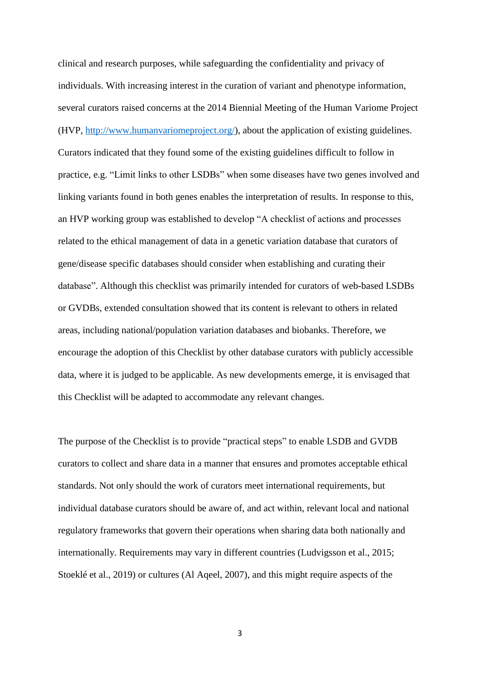clinical and research purposes, while safeguarding the confidentiality and privacy of individuals. With increasing interest in the curation of variant and phenotype information, several curators raised concerns at the 2014 Biennial Meeting of the Human Variome Project (HVP, [http://www.humanvariomeproject.org/\)](http://www.humanvariomeproject.org/), about the application of existing guidelines. Curators indicated that they found some of the existing guidelines difficult to follow in practice, e.g. "Limit links to other LSDBs" when some diseases have two genes involved and linking variants found in both genes enables the interpretation of results. In response to this, an HVP working group was established to develop "A checklist of actions and processes related to the ethical management of data in a genetic variation database that curators of gene/disease specific databases should consider when establishing and curating their database". Although this checklist was primarily intended for curators of web-based LSDBs or GVDBs, extended consultation showed that its content is relevant to others in related areas, including national/population variation databases and biobanks. Therefore, we encourage the adoption of this Checklist by other database curators with publicly accessible data, where it is judged to be applicable. As new developments emerge, it is envisaged that this Checklist will be adapted to accommodate any relevant changes.

The purpose of the Checklist is to provide "practical steps" to enable LSDB and GVDB curators to collect and share data in a manner that ensures and promotes acceptable ethical standards. Not only should the work of curators meet international requirements, but individual database curators should be aware of, and act within, relevant local and national regulatory frameworks that govern their operations when sharing data both nationally and internationally. Requirements may vary in different countries (Ludvigsson et al., 2015; Stoeklé et al., 2019) or cultures (Al Aqeel, 2007), and this might require aspects of the

3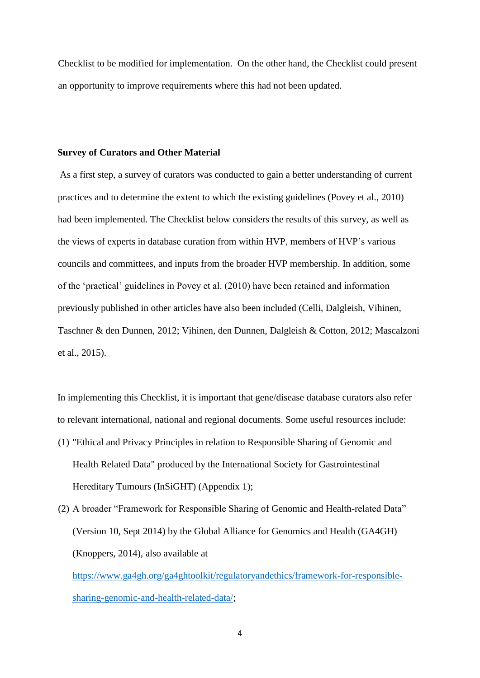Checklist to be modified for implementation. On the other hand, the Checklist could present an opportunity to improve requirements where this had not been updated.

#### **Survey of Curators and Other Material**

As a first step, a survey of curators was conducted to gain a better understanding of current practices and to determine the extent to which the existing guidelines (Povey et al., 2010) had been implemented. The Checklist below considers the results of this survey, as well as the views of experts in database curation from within HVP, members of HVP's various councils and committees, and inputs from the broader HVP membership. In addition, some of the 'practical' guidelines in Povey et al. (2010) have been retained and information previously published in other articles have also been included (Celli, Dalgleish, Vihinen, Taschner & den Dunnen, 2012; Vihinen, den Dunnen, Dalgleish & Cotton, 2012; Mascalzoni et al., 2015).

In implementing this Checklist, it is important that gene/disease database curators also refer to relevant international, national and regional documents. Some useful resources include: (1) "Ethical and Privacy Principles in relation to Responsible Sharing of Genomic and Health Related Data" produced by the International Society for Gastrointestinal Hereditary Tumours (InSiGHT) (Appendix 1);

(2) A broader "Framework for Responsible Sharing of Genomic and Health-related Data" (Version 10, Sept 2014) by the Global Alliance for Genomics and Health (GA4GH) (Knoppers, 2014), also available at [https://www.ga4gh.org/ga4ghtoolkit/regulatoryandethics/framework-for-responsible](https://www.ga4gh.org/ga4ghtoolkit/regulatoryandethics/framework-for-responsible-sharing-genomic-and-health-related-data/)[sharing-genomic-and-health-related-data/;](https://www.ga4gh.org/ga4ghtoolkit/regulatoryandethics/framework-for-responsible-sharing-genomic-and-health-related-data/)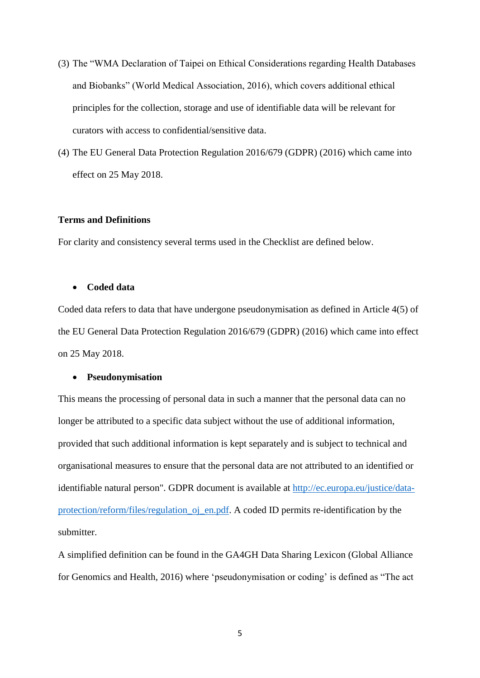- (3) The "WMA Declaration of Taipei on Ethical Considerations regarding Health Databases and Biobanks" (World Medical Association, 2016), which covers additional ethical principles for the collection, storage and use of identifiable data will be relevant for curators with access to confidential/sensitive data.
- (4) The EU General Data Protection Regulation 2016/679 (GDPR) (2016) which came into effect on 25 May 2018.

### **Terms and Definitions**

For clarity and consistency several terms used in the Checklist are defined below.

#### **Coded data**

Coded data refers to data that have undergone pseudonymisation as defined in Article 4(5) of the EU General Data Protection Regulation 2016/679 (GDPR) (2016) which came into effect on 25 May 2018.

#### **Pseudonymisation**

This means the processing of personal data in such a manner that the personal data can no longer be attributed to a specific data subject without the use of additional information, provided that such additional information is kept separately and is subject to technical and organisational measures to ensure that the personal data are not attributed to an identified or identifiable natural person". GDPR document is available at [http://ec.europa.eu/justice/data](http://ec.europa.eu/justice/data-protection/reform/files/regulation_oj_en.pdf)[protection/reform/files/regulation\\_oj\\_en.pdf.](http://ec.europa.eu/justice/data-protection/reform/files/regulation_oj_en.pdf) A coded ID permits re-identification by the submitter.

A simplified definition can be found in the GA4GH Data Sharing Lexicon (Global Alliance for Genomics and Health, 2016) where 'pseudonymisation or coding' is defined as "The act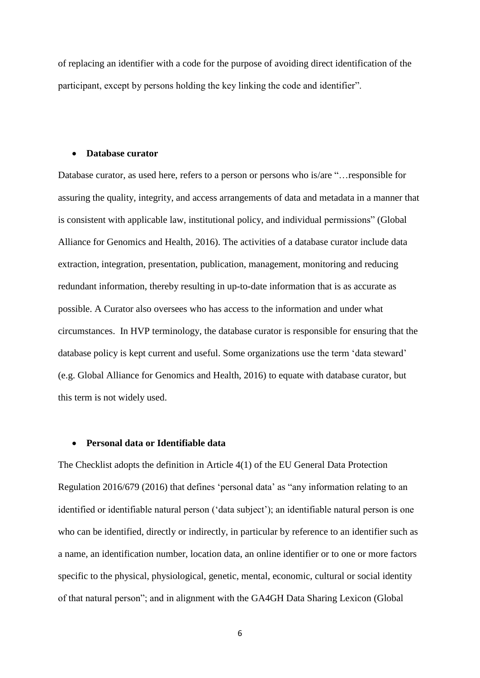of replacing an identifier with a code for the purpose of avoiding direct identification of the participant, except by persons holding the key linking the code and identifier".

#### **Database curator**

Database curator, as used here, refers to a person or persons who is/are "…responsible for assuring the quality, integrity, and access arrangements of data and metadata in a manner that is consistent with applicable law, institutional policy, and individual permissions" (Global Alliance for Genomics and Health, 2016). The activities of a database curator include data extraction, integration, presentation, publication, management, monitoring and reducing redundant information, thereby resulting in up-to-date information that is as accurate as possible. A Curator also oversees who has access to the information and under what circumstances. In HVP terminology, the database curator is responsible for ensuring that the database policy is kept current and useful. Some organizations use the term 'data steward' (e.g. Global Alliance for Genomics and Health, 2016) to equate with database curator, but this term is not widely used.

#### **Personal data or Identifiable data**

The Checklist adopts the definition in Article 4(1) of the EU General Data Protection Regulation 2016/679 (2016) that defines 'personal data' as "any information relating to an identified or identifiable natural person ('data subject'); an identifiable natural person is one who can be identified, directly or indirectly, in particular by reference to an identifier such as a name, an identification number, location data, an online identifier or to one or more factors specific to the physical, physiological, genetic, mental, economic, cultural or social identity of that natural person"; and in alignment with the GA4GH Data Sharing Lexicon (Global

6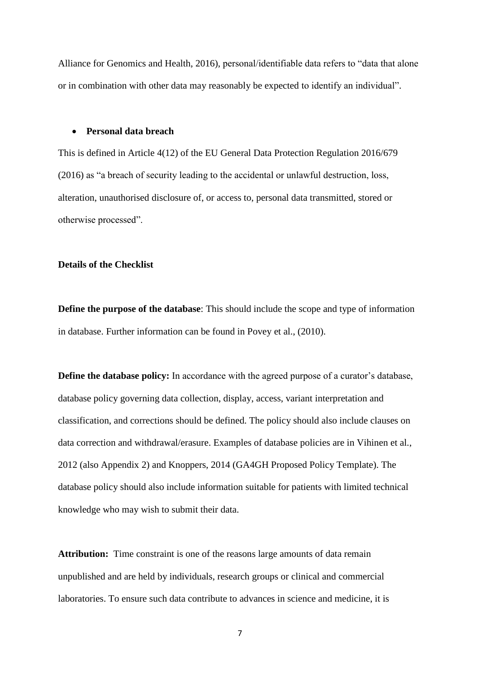Alliance for Genomics and Health, 2016), personal/identifiable data refers to "data that alone or in combination with other data may reasonably be expected to identify an individual".

### **Personal data breach**

This is defined in Article 4(12) of the EU General Data Protection Regulation 2016/679 (2016) as "a breach of security leading to the accidental or unlawful destruction, loss, alteration, unauthorised disclosure of, or access to, personal data transmitted, stored or otherwise processed".

#### **Details of the Checklist**

**Define the purpose of the database**: This should include the scope and type of information in database. Further information can be found in Povey et al., (2010).

**Define the database policy:** In accordance with the agreed purpose of a curator's database, database policy governing data collection, display, access, variant interpretation and classification, and corrections should be defined. The policy should also include clauses on data correction and withdrawal/erasure. Examples of database policies are in Vihinen et al., 2012 (also Appendix 2) and Knoppers, 2014 (GA4GH Proposed Policy Template). The database policy should also include information suitable for patients with limited technical knowledge who may wish to submit their data.

**Attribution:** Time constraint is one of the reasons large amounts of data remain unpublished and are held by individuals, research groups or clinical and commercial laboratories. To ensure such data contribute to advances in science and medicine, it is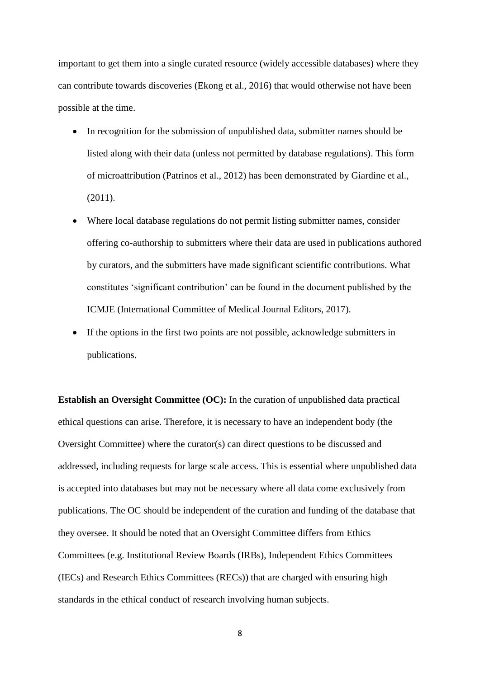important to get them into a single curated resource (widely accessible databases) where they can contribute towards discoveries (Ekong et al., 2016) that would otherwise not have been possible at the time.

- In recognition for the submission of unpublished data, submitter names should be listed along with their data (unless not permitted by database regulations). This form of microattribution (Patrinos et al., 2012) has been demonstrated by Giardine et al., (2011).
- Where local database regulations do not permit listing submitter names, consider offering co-authorship to submitters where their data are used in publications authored by curators, and the submitters have made significant scientific contributions. What constitutes 'significant contribution' can be found in the document published by the ICMJE (International Committee of Medical Journal Editors, 2017).
- If the options in the first two points are not possible, acknowledge submitters in publications.

**Establish an Oversight Committee (OC):** In the curation of unpublished data practical ethical questions can arise. Therefore, it is necessary to have an independent body (the Oversight Committee) where the curator(s) can direct questions to be discussed and addressed, including requests for large scale access. This is essential where unpublished data is accepted into databases but may not be necessary where all data come exclusively from publications. The OC should be independent of the curation and funding of the database that they oversee. It should be noted that an Oversight Committee differs from Ethics Committees (e.g. Institutional Review Boards (IRBs), Independent Ethics Committees (IECs) and Research Ethics Committees (RECs)) that are charged with ensuring high standards in the ethical conduct of research involving human subjects.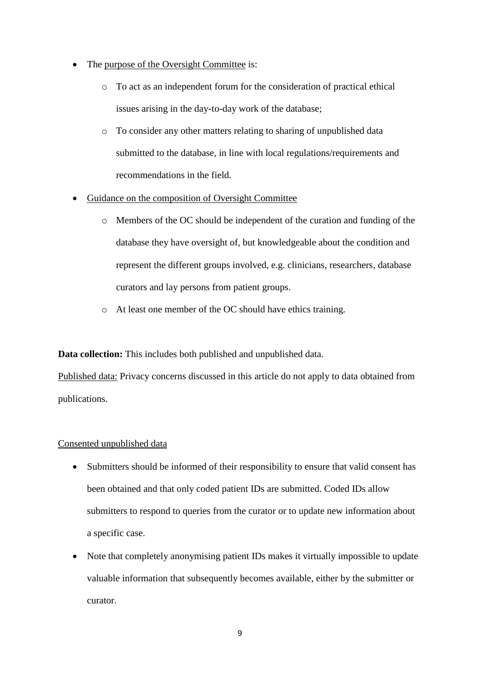- The purpose of the Oversight Committee is:
	- o To act as an independent forum for the consideration of practical ethical issues arising in the day-to-day work of the database;
	- o To consider any other matters relating to sharing of unpublished data submitted to the database, in line with local regulations/requirements and recommendations in the field.
- Guidance on the composition of Oversight Committee
	- o Members of the OC should be independent of the curation and funding of the database they have oversight of, but knowledgeable about the condition and represent the different groups involved, e.g. clinicians, researchers, database curators and lay persons from patient groups.
	- o At least one member of the OC should have ethics training.

**Data collection:** This includes both published and unpublished data.

Published data: Privacy concerns discussed in this article do not apply to data obtained from publications.

### Consented unpublished data

- Submitters should be informed of their responsibility to ensure that valid consent has been obtained and that only coded patient IDs are submitted. Coded IDs allow submitters to respond to queries from the curator or to update new information about a specific case.
- Note that completely anonymising patient IDs makes it virtually impossible to update valuable information that subsequently becomes available, either by the submitter or curator.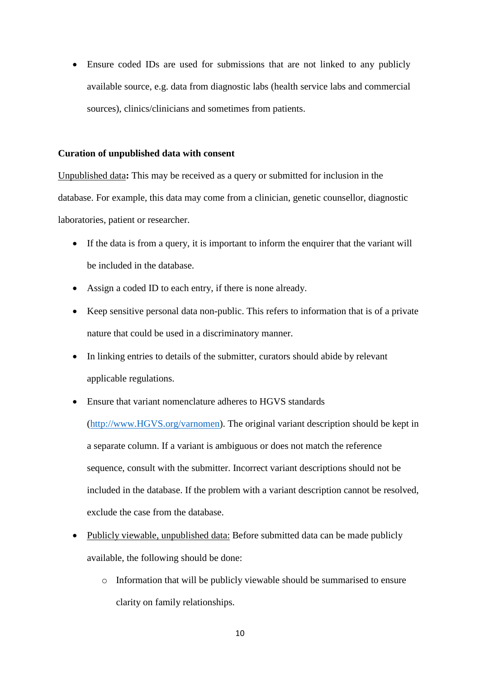Ensure coded IDs are used for submissions that are not linked to any publicly available source, e.g. data from diagnostic labs (health service labs and commercial sources), clinics/clinicians and sometimes from patients.

#### **Curation of unpublished data with consent**

Unpublished data**:** This may be received as a query or submitted for inclusion in the database. For example, this data may come from a clinician, genetic counsellor, diagnostic laboratories, patient or researcher.

- If the data is from a query, it is important to inform the enquirer that the variant will be included in the database.
- Assign a coded ID to each entry, if there is none already.
- Keep sensitive personal data non-public. This refers to information that is of a private nature that could be used in a discriminatory manner.
- In linking entries to details of the submitter, curators should abide by relevant applicable regulations.
- Ensure that variant nomenclature adheres to HGVS standards

[\(http://www.HGVS.org/varnomen\)](http://www.hgvs.org/varnomen). The original variant description should be kept in a separate column. If a variant is ambiguous or does not match the reference sequence, consult with the submitter. Incorrect variant descriptions should not be included in the database. If the problem with a variant description cannot be resolved, exclude the case from the database.

- Publicly viewable, unpublished data: Before submitted data can be made publicly available, the following should be done:
	- o Information that will be publicly viewable should be summarised to ensure clarity on family relationships.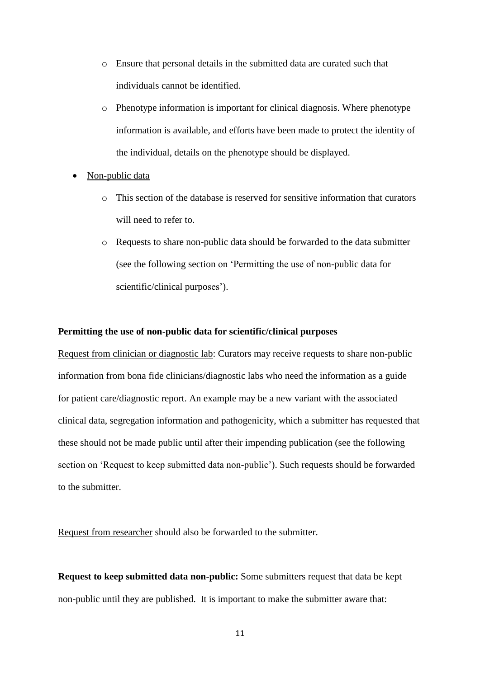- o Ensure that personal details in the submitted data are curated such that individuals cannot be identified.
- o Phenotype information is important for clinical diagnosis. Where phenotype information is available, and efforts have been made to protect the identity of the individual, details on the phenotype should be displayed.
- Non-public data
	- o This section of the database is reserved for sensitive information that curators will need to refer to.
	- o Requests to share non-public data should be forwarded to the data submitter (see the following section on 'Permitting the use of non-public data for scientific/clinical purposes').

### **Permitting the use of non-public data for scientific/clinical purposes**

Request from clinician or diagnostic lab: Curators may receive requests to share non-public information from bona fide clinicians/diagnostic labs who need the information as a guide for patient care/diagnostic report. An example may be a new variant with the associated clinical data, segregation information and pathogenicity, which a submitter has requested that these should not be made public until after their impending publication (see the following section on 'Request to keep submitted data non-public'). Such requests should be forwarded to the submitter.

Request from researcher should also be forwarded to the submitter.

**Request to keep submitted data non-public:** Some submitters request that data be kept non-public until they are published. It is important to make the submitter aware that: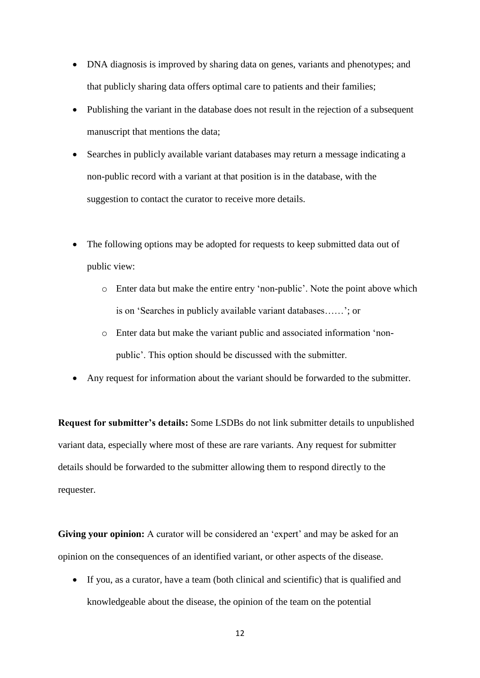- DNA diagnosis is improved by sharing data on genes, variants and phenotypes; and that publicly sharing data offers optimal care to patients and their families;
- Publishing the variant in the database does not result in the rejection of a subsequent manuscript that mentions the data;
- Searches in publicly available variant databases may return a message indicating a non-public record with a variant at that position is in the database, with the suggestion to contact the curator to receive more details.
- The following options may be adopted for requests to keep submitted data out of public view:
	- o Enter data but make the entire entry 'non-public'. Note the point above which is on 'Searches in publicly available variant databases……'; or
	- o Enter data but make the variant public and associated information 'nonpublic'. This option should be discussed with the submitter.
- Any request for information about the variant should be forwarded to the submitter.

**Request for submitter's details:** Some LSDBs do not link submitter details to unpublished variant data, especially where most of these are rare variants. Any request for submitter details should be forwarded to the submitter allowing them to respond directly to the requester.

**Giving your opinion:** A curator will be considered an 'expert' and may be asked for an opinion on the consequences of an identified variant, or other aspects of the disease.

 If you, as a curator, have a team (both clinical and scientific) that is qualified and knowledgeable about the disease, the opinion of the team on the potential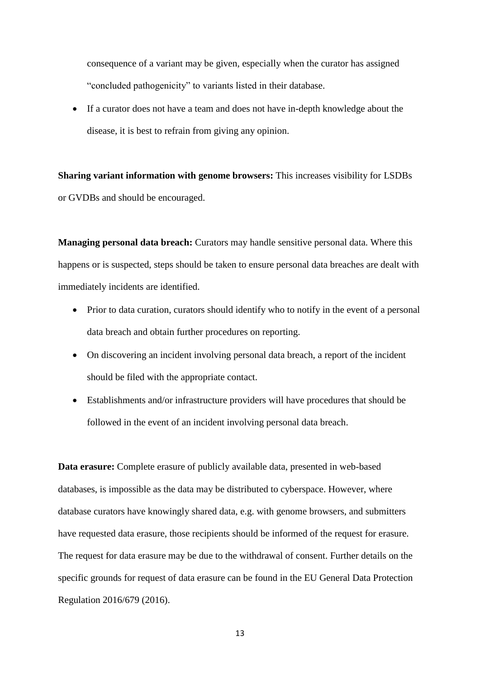consequence of a variant may be given, especially when the curator has assigned "concluded pathogenicity" to variants listed in their database.

 If a curator does not have a team and does not have in-depth knowledge about the disease, it is best to refrain from giving any opinion.

**Sharing variant information with genome browsers:** This increases visibility for LSDBs or GVDBs and should be encouraged.

**Managing personal data breach:** Curators may handle sensitive personal data. Where this happens or is suspected, steps should be taken to ensure personal data breaches are dealt with immediately incidents are identified.

- Prior to data curation, curators should identify who to notify in the event of a personal data breach and obtain further procedures on reporting.
- On discovering an incident involving personal data breach, a report of the incident should be filed with the appropriate contact.
- Establishments and/or infrastructure providers will have procedures that should be followed in the event of an incident involving personal data breach.

**Data erasure:** Complete erasure of publicly available data, presented in web-based databases, is impossible as the data may be distributed to cyberspace. However, where database curators have knowingly shared data, e.g. with genome browsers, and submitters have requested data erasure, those recipients should be informed of the request for erasure. The request for data erasure may be due to the withdrawal of consent. Further details on the specific grounds for request of data erasure can be found in the EU General Data Protection Regulation 2016/679 (2016).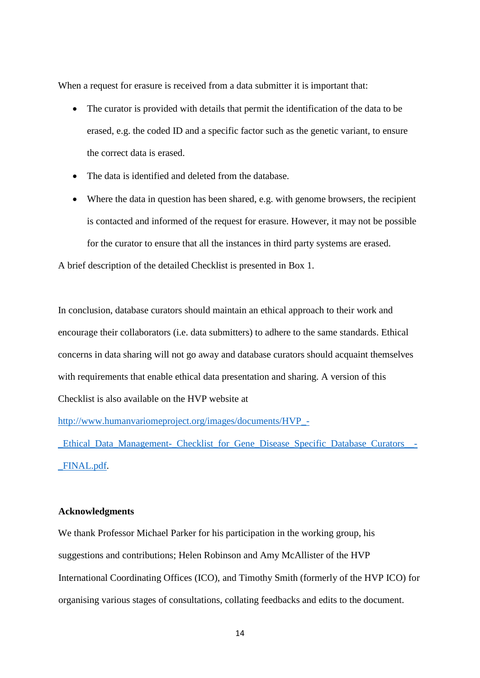When a request for erasure is received from a data submitter it is important that:

- The curator is provided with details that permit the identification of the data to be erased, e.g. the coded ID and a specific factor such as the genetic variant, to ensure the correct data is erased.
- The data is identified and deleted from the database.
- Where the data in question has been shared, e.g. with genome browsers, the recipient is contacted and informed of the request for erasure. However, it may not be possible for the curator to ensure that all the instances in third party systems are erased.

A brief description of the detailed Checklist is presented in Box 1.

In conclusion, database curators should maintain an ethical approach to their work and encourage their collaborators (i.e. data submitters) to adhere to the same standards. Ethical concerns in data sharing will not go away and database curators should acquaint themselves with requirements that enable ethical data presentation and sharing. A version of this Checklist is also available on the HVP website at

[http://www.humanvariomeproject.org/images/documents/HVP\\_-](http://www.humanvariomeproject.org/images/documents/HVP_-_Ethical_Data_Management-_Checklist_for_Gene_Disease_Specific_Database_Curators__-_FINAL.pdf)

[\\_Ethical\\_Data\\_Management-\\_Checklist\\_for\\_Gene\\_Disease\\_Specific\\_Database\\_Curators\\_\\_-](http://www.humanvariomeproject.org/images/documents/HVP_-_Ethical_Data_Management-_Checklist_for_Gene_Disease_Specific_Database_Curators__-_FINAL.pdf) [\\_FINAL.pdf.](http://www.humanvariomeproject.org/images/documents/HVP_-_Ethical_Data_Management-_Checklist_for_Gene_Disease_Specific_Database_Curators__-_FINAL.pdf)

#### **Acknowledgments**

We thank Professor Michael Parker for his participation in the working group, his suggestions and contributions; Helen Robinson and Amy McAllister of the HVP International Coordinating Offices (ICO), and Timothy Smith (formerly of the HVP ICO) for organising various stages of consultations, collating feedbacks and edits to the document.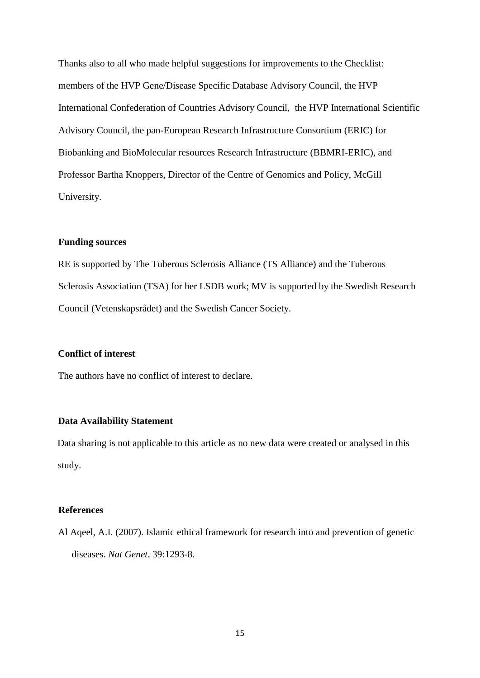Thanks also to all who made helpful suggestions for improvements to the Checklist: members of the HVP Gene/Disease Specific Database Advisory Council, the HVP International Confederation of Countries Advisory Council, the HVP International Scientific Advisory Council, the pan-European Research Infrastructure Consortium (ERIC) for Biobanking and BioMolecular resources Research Infrastructure (BBMRI-ERIC), and Professor Bartha Knoppers, Director of the Centre of Genomics and Policy, McGill University.

# **Funding sources**

RE is supported by The Tuberous Sclerosis Alliance (TS Alliance) and the Tuberous Sclerosis Association (TSA) for her LSDB work; MV is supported by the Swedish Research Council (Vetenskapsrådet) and the Swedish Cancer Society.

### **Conflict of interest**

The authors have no conflict of interest to declare.

### **Data Availability Statement**

Data sharing is not applicable to this article as no new data were created or analysed in this study.

### **References**

Al Aqeel, A.I. (2007). Islamic ethical framework for research into and prevention of genetic diseases. *Nat Genet*. 39:1293-8.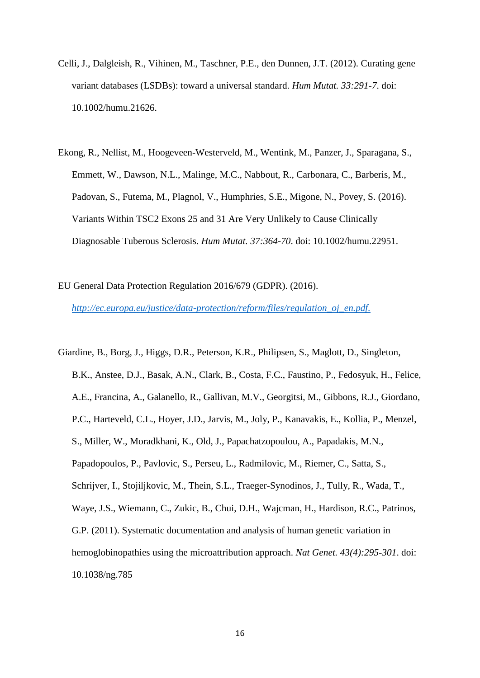- Celli, J., Dalgleish, R., Vihinen, M., Taschner, P.E., den Dunnen, J.T. (2012). Curating gene variant databases (LSDBs): toward a universal standard. *Hum Mutat. 33:291-7*. doi: 10.1002/humu.21626.
- Ekong, R., Nellist, M., Hoogeveen-Westerveld, M., Wentink, M., Panzer, J., Sparagana, S., Emmett, W., Dawson, N.L., Malinge, M.C., Nabbout, R., Carbonara, C., Barberis, M., Padovan, S., Futema, M., Plagnol, V., Humphries, S.E., Migone, N., Povey, S. (2016). Variants Within TSC2 Exons 25 and 31 Are Very Unlikely to Cause Clinically Diagnosable Tuberous Sclerosis. *Hum Mutat. 37:364-70*. doi: 10.1002/humu.22951.
- EU General Data Protection Regulation 2016/679 (GDPR). (2016). *[http://ec.europa.eu/justice/data-protection/reform/files/regulation\\_oj\\_en.pdf.](http://ec.europa.eu/justice/data-protection/reform/files/regulation_oj_en.pdf)*

Giardine, B., Borg, J., Higgs, D.R., Peterson, K.R., Philipsen, S., Maglott, D., Singleton, B.K., Anstee, D.J., Basak, A.N., Clark, B., Costa, F.C., Faustino, P., Fedosyuk, H., Felice, A.E., Francina, A., Galanello, R., Gallivan, M.V., Georgitsi, M., Gibbons, R.J., Giordano, P.C., Harteveld, C.L., Hoyer, J.D., Jarvis, M., Joly, P., Kanavakis, E., Kollia, P., Menzel, S., Miller, W., Moradkhani, K., Old, J., Papachatzopoulou, A., Papadakis, M.N., Papadopoulos, P., Pavlovic, S., Perseu, L., Radmilovic, M., Riemer, C., Satta, S., Schrijver, I., Stojiljkovic, M., Thein, S.L., Traeger-Synodinos, J., Tully, R., Wada, T., Waye, J.S., Wiemann, C., Zukic, B., Chui, D.H., Wajcman, H., Hardison, R.C., Patrinos, G.P. (2011). Systematic documentation and analysis of human genetic variation in hemoglobinopathies using the microattribution approach. *Nat Genet. 43(4):295-301*. doi: 10.1038/ng.785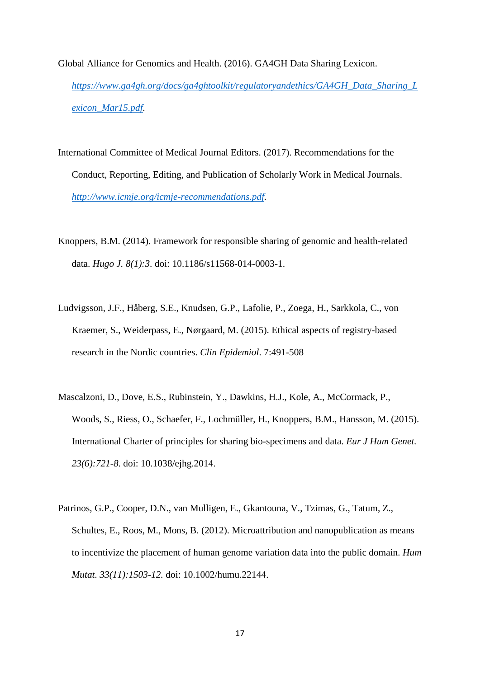- Global Alliance for Genomics and Health. (2016). GA4GH Data Sharing Lexicon. *[https://www.ga4gh.org/docs/ga4ghtoolkit/regulatoryandethics/GA4GH\\_Data\\_Sharing\\_L](https://www.ga4gh.org/docs/ga4ghtoolkit/regulatoryandethics/GA4GH_Data_Sharing_Lexicon_Mar15.pdf) [exicon\\_Mar15.pdf.](https://www.ga4gh.org/docs/ga4ghtoolkit/regulatoryandethics/GA4GH_Data_Sharing_Lexicon_Mar15.pdf)*
- International Committee of Medical Journal Editors. (2017). Recommendations for the Conduct, Reporting, Editing, and Publication of Scholarly Work in Medical Journals. *[http://www.icmje.org/icmje-recommendations.pdf.](http://www.icmje.org/icmje-recommendations.pdf)*
- Knoppers, B.M. (2014). Framework for responsible sharing of genomic and health-related data. *Hugo J. 8(1):3*. doi: 10.1186/s11568-014-0003-1.
- Ludvigsson, J.F., Håberg, S.E., Knudsen, G.P., Lafolie, P., Zoega, H., Sarkkola, C., von Kraemer, S., Weiderpass, E., Nørgaard, M. (2015). Ethical aspects of registry-based research in the Nordic countries. *Clin Epidemiol*. 7:491-508
- Mascalzoni, D., Dove, E.S., Rubinstein, Y., Dawkins, H.J., Kole, A., McCormack, P., Woods, S., Riess, O., Schaefer, F., Lochmüller, H., Knoppers, B.M., Hansson, M. (2015). International Charter of principles for sharing bio-specimens and data. *Eur J Hum Genet. 23(6):721-8*. doi: 10.1038/ejhg.2014.
- Patrinos, G.P., Cooper, D.N., van Mulligen, E., Gkantouna, V., Tzimas, G., Tatum, Z., Schultes, E., Roos, M., Mons, B. (2012). Microattribution and nanopublication as means to incentivize the placement of human genome variation data into the public domain. *Hum Mutat. 33(11):1503-12.* doi: 10.1002/humu.22144.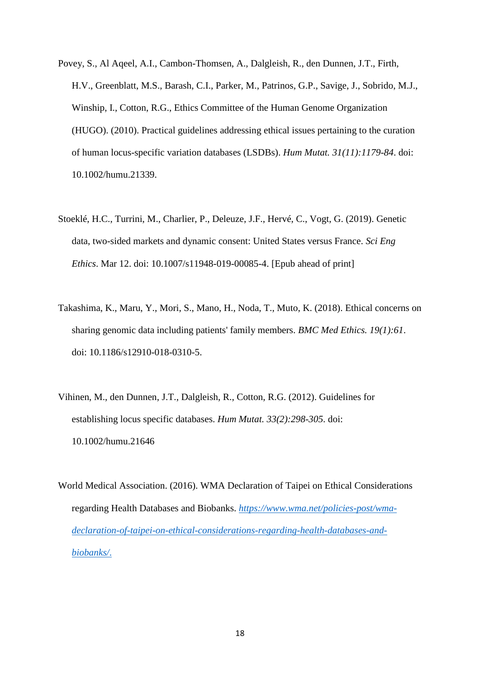- Povey, S., Al Aqeel, A.I., Cambon-Thomsen, A., Dalgleish, R., den Dunnen, J.T., Firth, H.V., Greenblatt, M.S., Barash, C.I., Parker, M., Patrinos, G.P., Savige, J., Sobrido, M.J., Winship, I., Cotton, R.G., Ethics Committee of the Human Genome Organization (HUGO). (2010). Practical guidelines addressing ethical issues pertaining to the curation of human locus-specific variation databases (LSDBs). *Hum Mutat. 31(11):1179-84*. doi: 10.1002/humu.21339.
- Stoeklé, H.C., Turrini, M., Charlier, P., Deleuze, J.F., Hervé, C., Vogt, G. (2019). Genetic data, two-sided markets and dynamic consent: United States versus France. *Sci Eng Ethics*. Mar 12. doi: 10.1007/s11948-019-00085-4. [Epub ahead of print]
- Takashima, K., Maru, Y., Mori, S., Mano, H., Noda, T., Muto, K. (2018). Ethical concerns on sharing genomic data including patients' family members. *BMC Med Ethics. 19(1):61*. doi: 10.1186/s12910-018-0310-5.
- Vihinen, M., den Dunnen, J.T., Dalgleish, R., Cotton, R.G. (2012). Guidelines for establishing locus specific databases. *Hum Mutat. 33(2):298-305*. doi: 10.1002/humu.21646
- World Medical Association. (2016). WMA Declaration of Taipei on Ethical Considerations regarding Health Databases and Biobanks. *[https://www.wma.net/policies-post/wma](https://www.wma.net/policies-post/wma-declaration-of-taipei-on-ethical-considerations-regarding-health-databases-and-biobanks/)[declaration-of-taipei-on-ethical-considerations-regarding-health-databases-and](https://www.wma.net/policies-post/wma-declaration-of-taipei-on-ethical-considerations-regarding-health-databases-and-biobanks/)[biobanks/](https://www.wma.net/policies-post/wma-declaration-of-taipei-on-ethical-considerations-regarding-health-databases-and-biobanks/)*.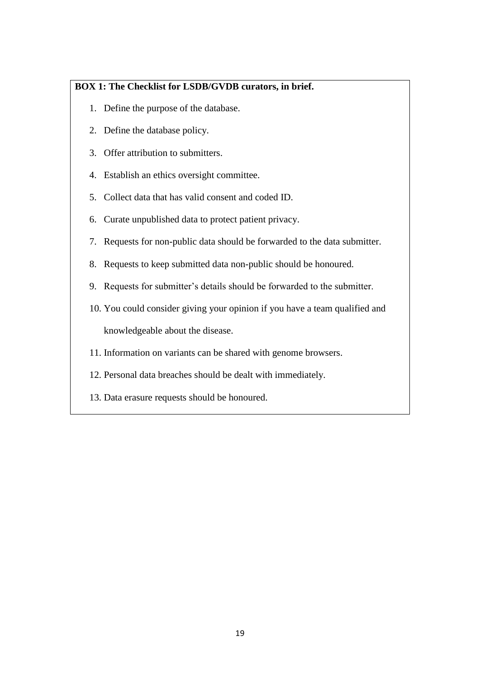# **BOX 1: The Checklist for LSDB/GVDB curators, in brief.**

- 1. Define the purpose of the database.
- 2. Define the database policy.
- 3. Offer attribution to submitters.
- 4. Establish an ethics oversight committee.
- 5. Collect data that has valid consent and coded ID.
- 6. Curate unpublished data to protect patient privacy.
- 7. Requests for non-public data should be forwarded to the data submitter.
- 8. Requests to keep submitted data non-public should be honoured.
- 9. Requests for submitter's details should be forwarded to the submitter.
- 10. You could consider giving your opinion if you have a team qualified and knowledgeable about the disease.
- 11. Information on variants can be shared with genome browsers.
- 12. Personal data breaches should be dealt with immediately.
- 13. Data erasure requests should be honoured.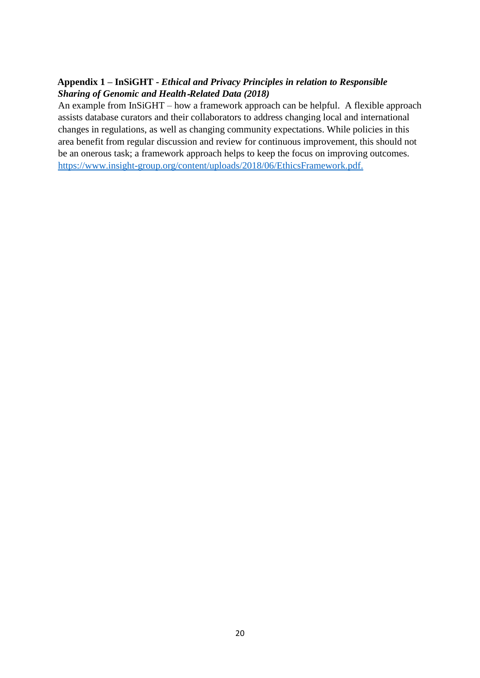# **Appendix 1 – InSiGHT -** *Ethical and Privacy Principles in relation to Responsible Sharing of Genomic and Health*‐*Related Data (2018)*

An example from InSiGHT – how a framework approach can be helpful. A flexible approach assists database curators and their collaborators to address changing local and international changes in regulations, as well as changing community expectations. While policies in this area benefit from regular discussion and review for continuous improvement, this should not be an onerous task; a framework approach helps to keep the focus on improving outcomes. [https://www.insight-group.org/content/uploads/2018/06/EthicsFramework.pdf.](https://www.insight-group.org/content/uploads/2018/06/EthicsFramework.pdf)